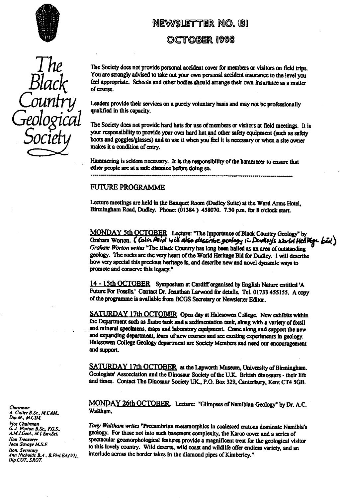

*Geo*  $\mathbf{r}$ ogical

The Society does not provide personal accident cover for members or visitors on field trips.<br>You are strongly advised to take out your own personal accident insurance to the level you WEWSLETTER NO. 131<br>
OCTOBER 1998<br>
The Society does not provide personal accident cover for members or visitors on field tr<br>
You are strongly advised to take out your own personal accident insurance to the level y<br>
feel app feel appropriate. Schools and other bodies should arrange their own insurance as a matter of course.

Leaders provide their services on a purely voluntary basis and may not be professionally ified in this capacity.

The Society does not provide hard hats for use of members or visitors at field meetings. It is your responsibility to provide your own hard hat and other safety equipment (such as safety **SOCIETY** your responsibility to provide your own hard hat and other safety equipment (such as safety boots and goggles/glasses) and to use it when you feel it is necessary or when a site owner makes it a condition of entry.

> Hammering is seldom necessary. It is the responsibility of the hammerer to ensure that other people arc at a safe distance before doing so.

## FUTURE PROGRAMME

Lecture meetings are held in-the Banquet Room (Dudley Suite) at the Ward Arms Hotel, Birmingham Road, Dudley. Phone: (01384) 459070. 7.30 p.m. for 8 o'clock start.

MONDAY 5th OCTOBER Lecture: "The Importance of Black Country Geology" by Graham Worton. C Colin Reid will also describe geology in Dudley's world Heither bid *Graham Worton* writes "The Black Country has long been hailed as an area of outstanding geology. **The** rocks are the very heart of the World Heritage Bid for Dudley. I will describe how very special this precious heritage is, and describe new and novel dynamic ways to promote and conserve this legacy."

**14-15th OCTOBER** Symposium at **Cardiff organised by** English Nature entitled **'A** Future For Fossils.' Contact Dr. Jonathan Larwood for details. Tel. 01733 455155. A copy of the programme is available from BCGS Sectary or Newsletter Editor.

**SATURDAY** 17th OCTOBER Open day at Halesowen College. New exhibits within the Department such as flume tank and a sedimentation tank, along with a variety of fossil and mineral specimens, maps and laboratory equipment. Come along and suppo**rt** the new and expanding department, learn of new courses and see exciting experiments in geology. Halesowen College Geology department are Society Members and need our encouragement and support.

SATURDAY **17th** OCTOBER at the Lapworth Museum, University of Birmingham. Geologists' Assocciation and the Dinosaur Society of the U.K. British dinosaurs - their life and times. Contact The Dinosaur Society UK., P.O. Box 329, Canterbury, Kent CT4 SGB,

**MONDAY 26th** Lecture: "Glimpses of Namibian Geology" by Dr. A.C. **Chairman** Waltham. *A. C.<sup>u</sup>*

*Pice Chairman*<br>*G. J. Worton B.Sc., F.G.S.*<br>A.M.I.Geol., M.I.Env.Sci. **Signal approximate Property For those not into such basement complexity, the Karoo cover and a series of** *M.M.I.Geol., M.I.Env.Sci.* geology. For those not into such basement complexity, the Karoo cover and a series of the reasurer spectacular geomorphological features provide a magnificent treat for the geological visitor Joan Savage M.S.F.<br>Hon. Secretary<br>Ann Nicholds B.A., B.Phil.Ed.(VI). interlude across the border takes in the diamond pipes of Kimberley." interlude across the border takes in the diamond pipes of Kimberley."

*tl tler 8.Sc.. M.CAM Dip.M., M.CIM. Dlp.COT.* SROT.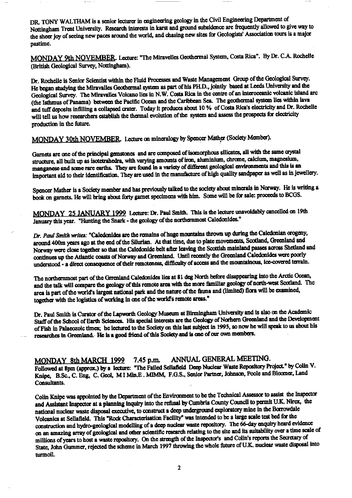DR. TONY WALTHAM is a senior lecturer in engineering geology in the Civil Engineering Department of Nottingham Trent University. Research interests in karst and ground subsidence are frequently allowed to give way to the sheer joy of seeing new paces around the world, and chasing new sites for Geologists' Association tours is a major pastime.

\_MONDAY 9th NOVEMBER. Lecture: "The Miravelles Geothermal System, Costa Rica". By Dr. C.A. Rochelle (British Geological Survey, Nottingham).

Dr. Rochelle is Senior Scientist within the Fluid Processes and Waste Management Group of the Geological Survey. He began studying the Miravalles Geothermal system as part of his PH.D., jointly based at Leeds University and the Geological Survey. The Miravalles Volcano lies in N.W. Costa Rica in the centre of an interoceanic volcanic island arc (the Isthmus of Panama) between the Pacific Ocean and the Caribbean Sea. The geothermal system lies within lava and tuff deposits infilling a collapsed crater. Today **It** produces **about** 10 % of Costa Rica's electricity and Dr. Rochelle will tell us how researchers establish the thermal evolution of the system and assess the prospects for electricity production in the future.

**MONDAY** 30th NOVEMBER Lecture on mineralogy by Spencer Mather (Society Member).

Garnets are one of the principal gemstones and are composed of isomorphous silicates, all with the same crystal structure, all built up as isotetrahedra, with varying amounts of iron, aluminium, chrome, calcium, magnesium, manganese and some rare earths. They are found in a variety of different geological environments and this is an important aid to their identification. They are used in the manufacture of high quality sandpaper as well as in jewellery.

Spencer Mather is a Society member and has previously talked to the society about minerals in Norway. He is writing a book on garnets. He will bring about forty garnet specimens with him. Some will be **for** sale: proceeds to BCGS.

MONDAY\_ **25** JANUARY 1999 Lecture: Dr. Paul Smith. This is the lecture unavoidably cancelled on 19th January this year. "Hunting the Snark - the geology of the northernmost Caledonides."

*Dr. Paul* Smith *writes:* "Calcdanides are the remains of huge mountains thrown up during the Caledonian progeny, around 400m years ago at the end of the Silurian. At that time, due to plate movements, Scotland, Greenland and Norway were close together so that the Caledonide belt after leaving the Scottish mainland passes across Shetland and continues up the Atlantic coasts of Norway and Greenland. Until recently the Greenland Caledonides were poorly understood - a direct consequence of their remoteness, difficulty of access and the mountainous, ice-covered terrain.

The northernmost part of the Grrenland Caledonides lies at 81 deg North before disappearing into the Arctic Ocean, and the talk will compare the geology of this remote area with the more familiar geology of north-west Scotland. The area **Is** pa**rt** of the world's largest national park and the nature of the fauna and (limited) flora will be examined, together with the logistics of working in one of the world's remote areas."

Dr. Paul Smith is Curator of the Lapworth Geology Museum at Birmingham University and is also on the Academic Staff of the School of Earth Sciences. His special interests are **the** Geology of Norhern Greenland and the Development of Fish In Palaeozoic times; he lectured to the Society an this last subject in 1995, so now he will speak to **us** about his researches-in-Greenland. He is a good friend of this Society-and is one of our own members.

MQNDAY 8th MARCH 1999 7.45 p.m. ANNUAL GENERAL MEETING.

Followed at 8pm (approx.) by a lecture: "The Failed Sellafield Deep Nuclear Waste Repository Project." by Colin V. Knipe, B.Sc., C. Eng, C. Geol, **Ml** Min.E . M1MM, F.G.S., Senior Partner, Johnson, Poole and Bloomer, Land Consultants.

Colin Knipe was appointed by the Department of the Environment to be the Technical Assessor to assist the **Inspector** and Assistant Inspector at a planning inquiry into the refusal by Cumbria County Council to permit U.K. Nirex, the national nuclear waste disposal executive, to construct a deep underground exploratory mine in the Borrowdale Volcanics at Sellafield. This "Rock Characterisation Facility" was intended to be a large scale test bed for the construction and hydro-geological modelling of a deep nuclear waste repository. The 66-day enquiry heard evidence on an amazing array of geological and other scien **ti**fic research relating to **the** site and its suitability over a time scale of millions of years to host a waste repository. On the s**tr**ength of the Inspcc toes and Coffin's **reports** the Secreta**ry** of State, John Gummer, rejected the scheme in March 1997 **throwing** the whole future of U.K. nuclear waste disposal into turmoil.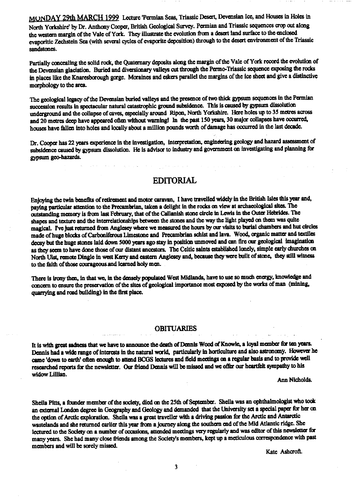**MVNDAY 29th MARCH 1999 Lecture 'Permian Seas, Triassic Desert, Deveusian ice, and Houses in Holes in North Yorkshire' by Dr. Anthony Cooper, British Geological Survey. Permian and Triassic sequences crop out along the western margin of the Vale of York. They illustrate the evolution from a desert land surface to the enclosed evaporitic Zechstein Sea (with several cycles of evaporate deposition) through to the desert environment of the Triassic sandstones.**

Partially concealing the solid rock, the Quaternary deposits along the margin of the Vale of York record the evolution of **the Devensian glaciation. Burled and diversionary valleys an through the Permo-Triassic sequence exposing the rocks in places like the Knaresborough gorge. Moraines and eskers parallel the margins of the Ice sheet and give a distinctive morphology to the area.**

**The geological legacy of the Devensian buried valleys and the presence of two thick gypsum sequences in the Permian succession results in spectacular natural catastrophic ground subsidence. This is caused by gypsum dissolution underground and the collapse of caves, especially around Ripon, North Yorkshire. Here holes up to 35 metres across and 20 metres deep have appeared often without warning! In the past 150 years. 30 major collapses have occurred.** houses have fallen into holes and locally about a million pounds worth of damage has occurred in the last decade.

**Dr. Cooper has 22 years experience in the investigation, interpretation, engindering geology and hazard assessment of subsidence caused by gypsum dissolution. He is advisor to industry and government on Investigating and planning for gypsum geo-hazards.**

# **EDITORIAL**

**Enjoying the twin benefits of retirement and motor caravan. I have travelled widely in the British Isles this year and, paying particular attention to the Precambrian, taken a delight in the rocks on view at archaeological sites. The outstanding memory is from last Fdsaary, that of the Callanish stone circle in Lewis in the Outer Hebrides. The shapes and texture and the interrelationships between the stones and the way the light played on them was quite magical. Pve just returned from Anglesey where we measured the hours by our visits to burial chambers and but circles made of huge blocks of Carboniferous Limestone and Precambrian schist and lava. Wood, organic matter and textiles** decay but the huge stones laid down 5000 years ago stay in position unmoved and can fire our geological imagination **as they seem to have done those of our distant ancestors. The Celtic saints established lonely, simple early churches on North Ulst, remote Dingle in west Kerry and eastern Anglesey and, because they we<sup>r</sup>e built of stone, they still witness to the faith of those courageousand learned holy men.**

There is irony then, in that we, in the densely populated West Midlands, have to use so much energy, knowledge and **concern to ensure the preservation of the sites of geological importance most exposed by the works of man (mining, quarrying and road building) in the first place.**

### **OBITUARIES**

**it is with great sadness that we have to announce the death of Damis Wood of Knowle, a loyal member for ten years. Dennis had a wide range of interests in the natural world, particularly in horticulture and also astronomy. However he came 'down to earth' often enough to attend BCGS lectures and field meetings on a regular basis and to provide well researched reports for the newsletter. Our friend Dennis will be missed and we oftr our heartfelt sympathy to his widow Lillian.**

**Ann Nicholda**

Sheila Pitts, a founder member of the society, died on the 25th of September. Shella was an ophthalmologist who took **an external London degree In Geography and Geology and demanded that the University set a special papa' for her** on **the option of Arctic exploration. Sheila was a great traveller with a driving passion for the Arctic and Antarctic wastelands and she returned earlier this year** *from* **a journey along the southern end of the Mid Atlantic ridge. She lectured to the Society on a number of occasions, attended meetings very regularly and was editor of this newsletter for many years. She had many close friends among the Society's members, kept up a meticulous correspondence with past members and will be sorely missed.**

**Kate Ashcroft.**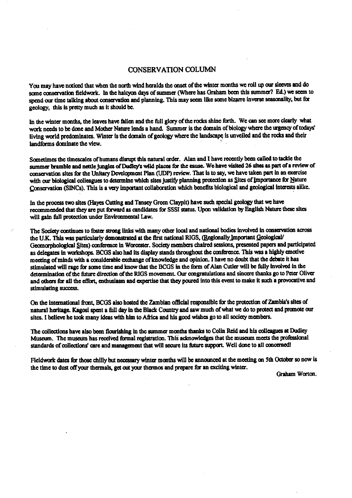## CONSERVATION COLUMN

You may have noticed that when the north wind heralds the onset of the winter months we roll up our sleeves and do some conservation fieldwork. In the halcyon days of summer (Where has Graham been this summer? Ed.) we seem to spend our time talking about conservation and planning. This may seen like some bizarre inverse seasonality, but for geology, this is pretty much as it should be.

In the winter months, the leaves have fallen and the full glory of the rocks shine forth. We can see more clearly what work needs to be done and Mother Nature leads a hand. Summer is the domain of biology where the urgency of todays' living world predominates. Winter is the domain of geology where the landscape is unveiled and the rocks and their landforms dominate the view.

Sometimes the timescales of humans disrupt this natural order. Alan and I have recently been called to tackle the summer bramble and nettle jungles of Dudley's wild places for the eause. We have visited 26-sites as part of a review of conservation sites for the Unitary Development Plan (UDP) review. That is to say, we have taken part in an exercise with our biological colleagues to determine which sites justify planning protection as Sites of Importance for Nature Conservation (SINCs). This is a very important collaboration which benefits biological and geological interests alike.

In the process two sites (Hayes Cutting and Tansey Green Claypit) have such special geology that we have recommended that they are put forward as candidates for SSSI status. Upon validation by English Nature these sites will gain full protection under Environmental Law.

The Society continues to foster strong links with many other local and national bodies involved in conservation across the U.K. This was particularly demonstrated at the first national RIGS, (Regionally Important Geological/ Geomorphological Sites) conference in Worcester. Society members chaired sessions, presented papers and participated as delegates in workshops. BCGS also had its display stands throughout the conference This was a highly emotive meeting of minds with a considerable exchange of knowledge and opinion. I have no doubt that the debate it has stimulated will rage for some time and know that the BCGS in the form of Alan Cutler will be fully involved in the determination of the fixture **direction** of the RIGS movement. Our congratulations and sincere thanks go to Peter Oliver and others for all the effort, enthusiasm and expertise that they poured into this event to make it such a provocative and stimulating success.

On the international front, BCGS also hosted the Zambian official responsible for the protection of Zambia's sites of natural heritage. Kagosi spent a full day in the Black Country and saw much of what we do to protect and promote our sites. I believe he took many ideas with him to Africa and his good wishes go to all society members.

The collections have also been flourishing in the summer months thanks to Colin Reid and his **colleagues** at Dudley Museum. the museum has reocived formal registration. This acknowledges that the museum meets the professional standards of collections' care and management that will secure its future support. Well done to all concerned!

Fieldwork dates for those chilly but necessary winter months will be announced at the meeting on 5th October so now is the time to dust off your thermals, get out your thermos and prepare **for** an exciting winter.

Graham Wo**rt**on.